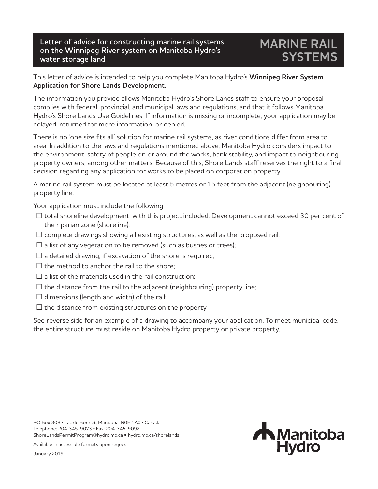## **Letter of advice for constructing marine rail systems on the Winnipeg River system on Manitoba Hydro's water storage land**

## **MARINE RAIL SYSTEMS**

This letter of advice is intended to help you complete Manitoba Hydro's **Winnipeg River System Application for Shore Lands Development**.

The information you provide allows Manitoba Hydro's Shore Lands staff to ensure your proposal complies with federal, provincial, and municipal laws and regulations, and that it follows Manitoba Hydro's Shore Lands Use Guidelines. If information is missing or incomplete, your application may be delayed, returned for more information, or denied.

There is no 'one size fits all' solution for marine rail systems, as river conditions differ from area to area. In addition to the laws and regulations mentioned above, Manitoba Hydro considers impact to the environment, safety of people on or around the works, bank stability, and impact to neighbouring property owners, among other matters. Because of this, Shore Lands staff reserves the right to a final decision regarding any application for works to be placed on corporation property.

A marine rail system must be located at least 5 metres or 15 feet from the adjacent (neighbouring) property line.

Your application must include the following:

- $\Box$  total shoreline development, with this project included. Development cannot exceed 30 per cent of the riparian zone (shoreline);
- $\square$  complete drawings showing all existing structures, as well as the proposed rail;
- $\square$  a list of any vegetation to be removed (such as bushes or trees);
- $\square$  a detailed drawing, if excavation of the shore is required;
- $\square$  the method to anchor the rail to the shore;
- $\square$  a list of the materials used in the rail construction;
- $\square$  the distance from the rail to the adjacent (neighbouring) property line;
- $\square$  dimensions (length and width) of the rail;
- $\square$  the distance from existing structures on the property.

See reverse side for an example of a drawing to accompany your application. To meet municipal code, the entire structure must reside on Manitoba Hydro property or private property.

PO Box 808 • Lac du Bonnet, Manitoba R0E 1A0 • Canada Telephone: 204-345-9073 • Fax: 204-345-9092 ShoreLandsPermitProgram@hydro.mb.ca • hydro.mb.ca/shorelands



Available in accessible formats upon request.